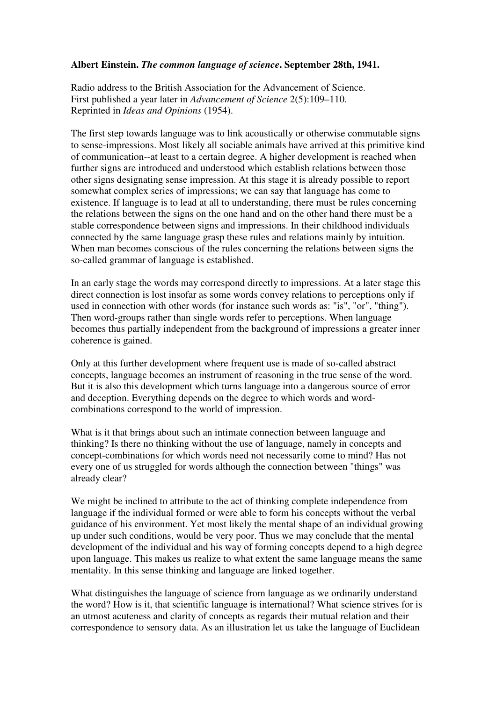## **Albert Einstein.** *The common language of science***. September 28th, 1941.**

Radio address to the British Association for the Advancement of Science. First published a year later in *Advancement of Science* 2(5):109–110. Reprinted in *Ideas and Opinions* (1954).

The first step towards language was to link acoustically or otherwise commutable signs to sense-impressions. Most likely all sociable animals have arrived at this primitive kind of communication--at least to a certain degree. A higher development is reached when further signs are introduced and understood which establish relations between those other signs designating sense impression. At this stage it is already possible to report somewhat complex series of impressions; we can say that language has come to existence. If language is to lead at all to understanding, there must be rules concerning the relations between the signs on the one hand and on the other hand there must be a stable correspondence between signs and impressions. In their childhood individuals connected by the same language grasp these rules and relations mainly by intuition. When man becomes conscious of the rules concerning the relations between signs the so-called grammar of language is established.

In an early stage the words may correspond directly to impressions. At a later stage this direct connection is lost insofar as some words convey relations to perceptions only if used in connection with other words (for instance such words as: "is", "or", "thing"). Then word-groups rather than single words refer to perceptions. When language becomes thus partially independent from the background of impressions a greater inner coherence is gained.

Only at this further development where frequent use is made of so-called abstract concepts, language becomes an instrument of reasoning in the true sense of the word. But it is also this development which turns language into a dangerous source of error and deception. Everything depends on the degree to which words and wordcombinations correspond to the world of impression.

What is it that brings about such an intimate connection between language and thinking? Is there no thinking without the use of language, namely in concepts and concept-combinations for which words need not necessarily come to mind? Has not every one of us struggled for words although the connection between "things" was already clear?

We might be inclined to attribute to the act of thinking complete independence from language if the individual formed or were able to form his concepts without the verbal guidance of his environment. Yet most likely the mental shape of an individual growing up under such conditions, would be very poor. Thus we may conclude that the mental development of the individual and his way of forming concepts depend to a high degree upon language. This makes us realize to what extent the same language means the same mentality. In this sense thinking and language are linked together.

What distinguishes the language of science from language as we ordinarily understand the word? How is it, that scientific language is international? What science strives for is an utmost acuteness and clarity of concepts as regards their mutual relation and their correspondence to sensory data. As an illustration let us take the language of Euclidean